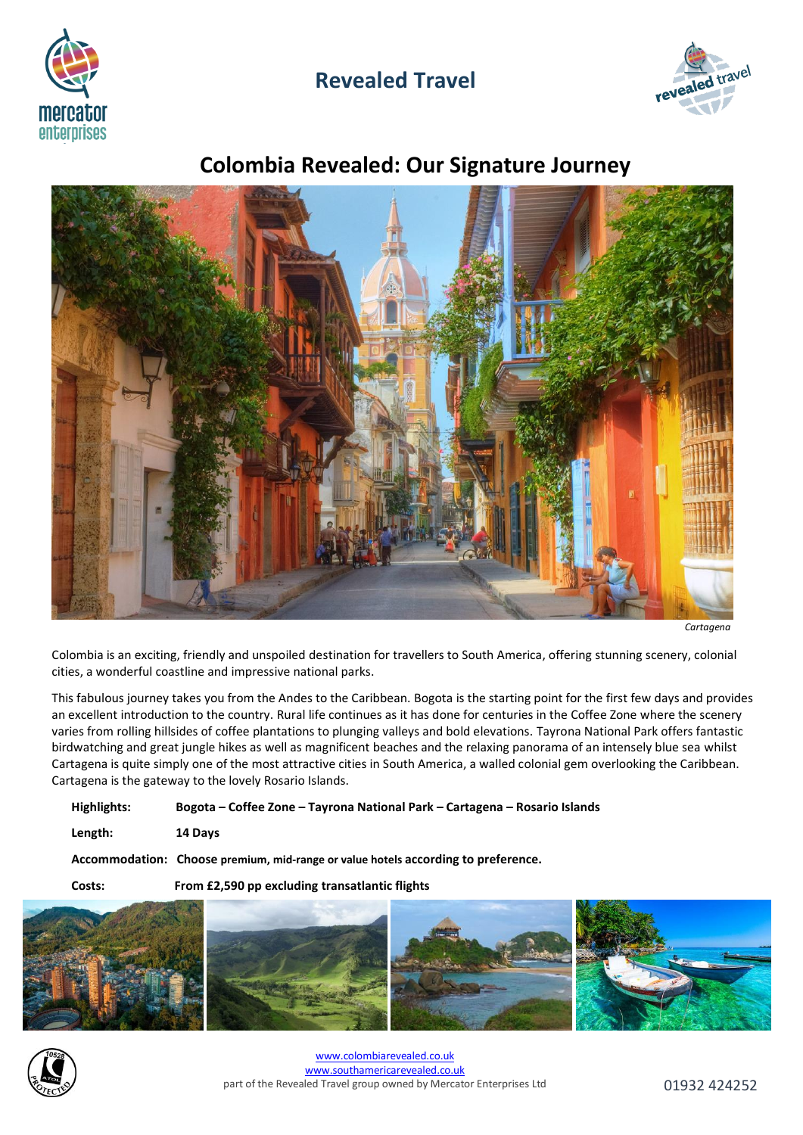

## **Revealed Travel**



# **Colombia Revealed: Our Signature Journey**



*Cartagena*

Colombia is an exciting, friendly and unspoiled destination for travellers to South America, offering stunning scenery, colonial cities, a wonderful coastline and impressive national parks.

This fabulous journey takes you from the Andes to the Caribbean. Bogota is the starting point for the first few days and provides an excellent introduction to the country. Rural life continues as it has done for centuries in the Coffee Zone where the scenery varies from rolling hillsides of coffee plantations to plunging valleys and bold elevations. Tayrona National Park offers fantastic birdwatching and great jungle hikes as well as magnificent beaches and the relaxing panorama of an intensely blue sea whilst Cartagena is quite simply one of the most attractive cities in South America, a walled colonial gem overlooking the Caribbean. Cartagena is the gateway to the lovely Rosario Islands.

**Highlights: Bogota – Coffee Zone – Tayrona National Park – Cartagena – Rosario Islands**

**Length: 14 Days**

**Accommodation: Choose premium, mid-range or value hotels according to preference.**

**Costs: From £2,590 pp excluding transatlantic flights**





[www.colombiarevealed.co.uk](http://www.colombiarevealed.co.uk/) [www.southamericarevealed.co.uk](http://www.southamericarevealed.co.uk/) part of the Revealed Travel group owned by Mercator Enterprises Ltd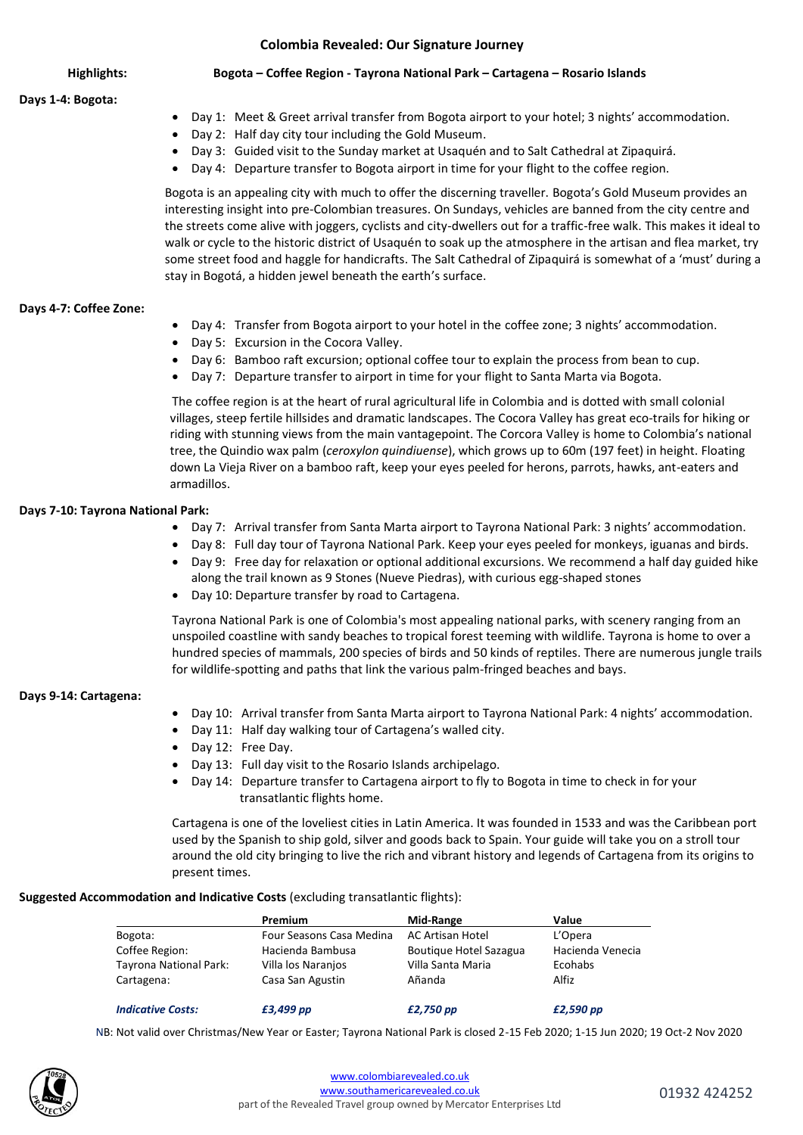#### **Colombia Revealed: Our Signature Journey**

#### **Days 1-4: Bogota:**

- **Highlights: Bogota – Coffee Region - Tayrona National Park – Cartagena – Rosario Islands**
	- Day 1: Meet & Greet arrival transfer from Bogota airport to your hotel; 3 nights' accommodation.
	- Day 2: Half day city tour including the Gold Museum.
	- Day 3: Guided visit to the Sunday market at Usaquén and to Salt Cathedral at Zipaquirá.
	- Day 4: Departure transfer to Bogota airport in time for your flight to the coffee region.

Bogota is an appealing city with much to offer the discerning traveller. Bogota's Gold Museum provides an interesting insight into pre-Colombian treasures. On Sundays, vehicles are banned from the city centre and the streets come alive with joggers, cyclists and city-dwellers out for a traffic-free walk. This makes it ideal to walk or cycle to the historic district of Usaquén to soak up the atmosphere in the artisan and flea market, try some street food and haggle for handicrafts. The Salt Cathedral of Zipaquirá is somewhat of a 'must' during a stay in Bogotá, a hidden jewel beneath the earth's surface.

#### **Days 4-7: Coffee Zone:**

- Day 4: Transfer from Bogota airport to your hotel in the coffee zone; 3 nights' accommodation.
- Day 5: Excursion in the Cocora Valley.
- Day 6: Bamboo raft excursion; optional coffee tour to explain the process from bean to cup.
- Day 7: Departure transfer to airport in time for your flight to Santa Marta via Bogota.

The coffee region is at the heart of rural agricultural life in Colombia and is dotted with small colonial villages, steep fertile hillsides and dramatic landscapes. The Cocora Valley has great eco-trails for hiking or riding with stunning views from the main vantagepoint. The Corcora Valley is home to Colombia's national tree, the Quindio wax palm (*ceroxylon quindiuense*), which grows up to 60m (197 feet) in height. Floating down La Vieja River on a bamboo raft, keep your eyes peeled for herons, parrots, hawks, ant-eaters and armadillos.

#### **Days 7-10: Tayrona National Park:**

- Day 7: Arrival transfer from Santa Marta airport to Tayrona National Park: 3 nights' accommodation.
- Day 8: Full day tour of Tayrona National Park. Keep your eyes peeled for monkeys, iguanas and birds.
- Day 9: Free day for relaxation or optional additional excursions. We recommend a half day guided hike along the trail known as 9 Stones (Nueve Piedras), with curious egg-shaped stones
- Day 10: Departure transfer by road to Cartagena.

Tayrona National Park is one of [Colombia'](http://lonelyplanet.com/colombia)s most appealing national parks, with scenery ranging from an unspoiled coastline with sandy beaches to tropical forest teeming with wildlife. Tayrona is home to over a hundred species of mammals, 200 species of birds and 50 kinds of reptiles. There are numerous jungle trails for wildlife-spotting and paths that link the various palm-fringed beaches and bays.

#### **Days 9-14: Cartagena:**

- Day 10: Arrival transfer from Santa Marta airport to Tayrona National Park: 4 nights' accommodation.
- Day 11: Half day walking tour of Cartagena's walled city.
- Day 12: Free Day.
- Day 13: Full day visit to the Rosario Islands archipelago.
- Day 14: Departure transfer to Cartagena airport to fly to Bogota in time to check in for your transatlantic flights home.

Cartagena is one of the loveliest cities in Latin America. It was founded in 1533 and was the Caribbean port used by the Spanish to ship gold, silver and goods back to Spain. Your guide will take you on a stroll tour around the old city bringing to live the rich and vibrant history and legends of Cartagena from its origins to present times.

#### **Suggested Accommodation and Indicative Costs** (excluding transatlantic flights):

|                          | Premium                  | Mid-Range              | Value            |
|--------------------------|--------------------------|------------------------|------------------|
| Bogota:                  | Four Seasons Casa Medina | AC Artisan Hotel       | L'Opera          |
| Coffee Region:           | Hacienda Bambusa         | Boutique Hotel Sazagua | Hacienda Venecia |
| Tayrona National Park:   | Villa los Naranios       | Villa Santa Maria      | Ecohabs          |
| Cartagena:               | Casa San Agustin         | Añanda                 | Alfiz            |
| <b>Indicative Costs:</b> | £3,499 pp                | £2,750 pp              | £2,590 pp        |

NB: Not valid over Christmas/New Year or Easter; Tayrona National Park is closed 2-15 Feb 2020; 1-15 Jun 2020; 19 Oct-2 Nov 2020